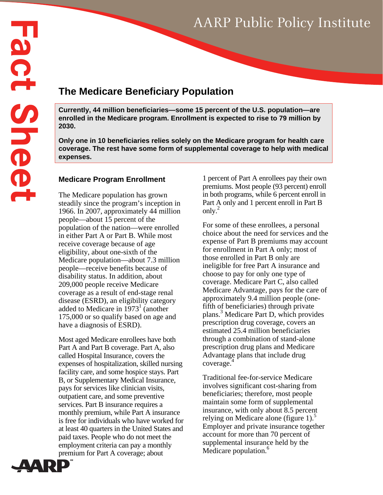# AARP Public Policy Institute

## **The Medicare Beneficiary Population**

**Currently, 44 million beneficiaries—some 15 percent of the U.S. population—are enrolled in the Medicare program. Enrollment is expected to rise to 79 million by 2030.** 

**Only one in 10 beneficiaries relies solely on the Medicare program for health care coverage. The rest have some form of supplemental coverage to help with medical expenses.** 

#### **Medicare Program Enrollment**

The Medicare population has grown steadily since the program's inception in 1966. In 2007, approximately 44 million people—about 15 percent of the population of the nation—were enrolled in either Part A or Part B. While most receive coverage because of age eligibility, about one-sixth of the Medicare population—about 7.3 million people—receive benefits because of disability status. In addition, about 209,000 people receive Medicare coverage as a result of end-stage renal disease (ESRD), an eligibility category added to Medicare in  $1973<sup>1</sup>$  (another 175,000 or so qualify based on age and have a diagnosis of ESRD).

Most aged Medicare enrollees have both Part A and Part B coverage. Part A, also called Hospital Insurance, covers the expenses of hospitalization, skilled nursing facility care, and some hospice stays. Part B, or Supplementary Medical Insurance, pays for services like clinician visits, outpatient care, and some preventive services. Part B insurance requires a monthly premium, while Part A insurance is free for individuals who have worked for at least 40 quarters in the United States and paid taxes. People who do not meet the employment criteria can pay a monthly premium for Part A coverage; about

1 percent of Part A enrollees pay their own premiums. Most people (93 percent) enroll in both programs, while 6 percent enroll in Part A only and 1 percent enroll in Part B only.<sup>2</sup>

For some of these enrollees, a personal choice about the need for services and the expense of Part B premiums may account for enrollment in Part A only; most of those enrolled in Part B only are ineligible for free Part A insurance and choose to pay for only one type of coverage. Medicare Part C, also called Medicare Advantage, pays for the care of approximately 9.4 million people (onefifth of beneficiaries) through private plans.3 Medicare Part D, which provides prescription drug coverage, covers an estimated 25.4 million beneficiaries through a combination of stand-alone prescription drug plans and Medicare Advantage plans that include drug coverage. 4

Traditional fee-for-service Medicare involves significant cost-sharing from beneficiaries; therefore, most people maintain some form of supplemental insurance, with only about 8.5 percent relying on Medicare alone (figure 1). $\frac{5}{5}$ Employer and private insurance together account for more than 70 percent of supplemental insurance held by the Medicare population.<sup>6</sup>

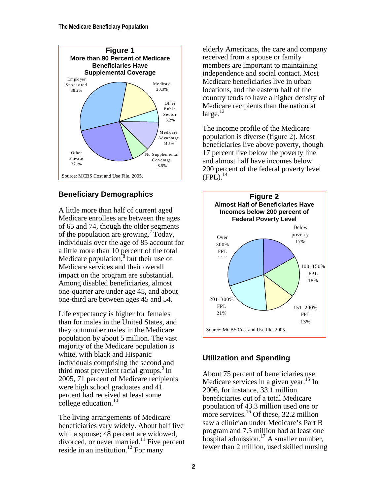

#### **Beneficiary Demographics**

A little more than half of current aged Medicare enrollees are between the ages of 65 and 74, though the older segments of the population are growing.<sup>7</sup> Today, individuals over the age of 85 account for a little more than 10 percent of the total Medicare population, $\hat{s}$  but their use of Medicare services and their overall impact on the program are substantial. Among disabled beneficiaries, almost one-quarter are under age 45, and about one-third are between ages 45 and 54.

Life expectancy is higher for females than for males in the United States, and they outnumber males in the Medicare population by about 5 million. The vast majority of the Medicare population is white, with black and Hispanic individuals comprising the second and third most prevalent racial groups. $9 \text{ In }$ 2005, 71 percent of Medicare recipients were high school graduates and 41 percent had received at least some college education.<sup>10</sup>

The living arrangements of Medicare beneficiaries vary widely. About half live with a spouse; 48 percent are widowed, divorced, or never married.<sup>11</sup> Five percent reside in an institution.<sup>12</sup> For many

elderly Americans, the care and company received from a spouse or family members are important to maintaining independence and social contact. Most Medicare beneficiaries live in urban locations, and the eastern half of the country tends to have a higher density of Medicare recipients than the nation at  $\text{large.}^{13}$ 

The income profile of the Medicare population is diverse (figure 2). Most beneficiaries live above poverty, though 17 percent live below the poverty line and almost half have incomes below 200 percent of the federal poverty level  $(FPL)^{14}$ 



#### **Utilization and Spending**

About 75 percent of beneficiaries use Medicare services in a given year.<sup>15</sup> In 2006, for instance, 33.1 million beneficiaries out of a total Medicare population of 43.3 million used one or more services.<sup>16</sup> Of these, 32.2 million saw a clinician under Medicare's Part B program and 7.5 million had at least one hospital admission.<sup>17</sup> A smaller number, fewer than 2 million, used skilled nursing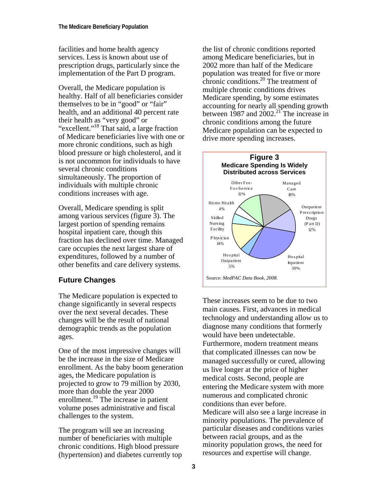facilities and home health agency services. Less is known about use of prescription drugs, particularly since the implementation of the Part D program.

Overall, the Medicare population is healthy. Half of all beneficiaries consider themselves to be in "good" or "fair" health, and an additional 40 percent rate their health as "very good" or "excellent."<sup>18</sup> That said, a large fraction of Medicare beneficiaries live with one or more chronic conditions, such as high blood pressure or high cholesterol, and it is not uncommon for individuals to have several chronic conditions simultaneously. The proportion of individuals with multiple chronic conditions increases with age.

Overall, Medicare spending is split among various services (figure 3). The largest portion of spending remains hospital inpatient care, though this fraction has declined over time. Managed care occupies the next largest share of expenditures, followed by a number of other benefits and care delivery systems.

### **Future Changes**

The Medicare population is expected to change significantly in several respects over the next several decades. These changes will be the result of national demographic trends as the population ages.

One of the most impressive changes will be the increase in the size of Medicare enrollment. As the baby boom generation ages, the Medicare population is projected to grow to 79 million by 2030, more than double the year 2000 enrollment.<sup>19</sup> The increase in patient volume poses administrative and fiscal challenges to the system.

The program will see an increasing number of beneficiaries with multiple chronic conditions. High blood pressure (hypertension) and diabetes currently top

the list of chronic conditions reported among Medicare beneficiaries, but in 2002 more than half of the Medicare population was treated for five or more chronic conditions. $^{20}$  The treatment of multiple chronic conditions drives Medicare spending, by some estimates accounting for nearly all spending growth between 1987 and  $2002.<sup>21</sup>$  The increase in chronic conditions among the future Medicare population can be expected to drive more spending increases.



These increases seem to be due to two main causes. First, advances in medical technology and understanding allow us to diagnose many conditions that formerly would have been undetectable. Furthermore, modern treatment means that complicated illnesses can now be managed successfully or cured, allowing us live longer at the price of higher medical costs. Second, people are entering the Medicare system with more numerous and complicated chronic conditions than ever before. Medicare will also see a large increase in minority populations. The prevalence of particular diseases and conditions varies between racial groups, and as the minority population grows, the need for resources and expertise will change.